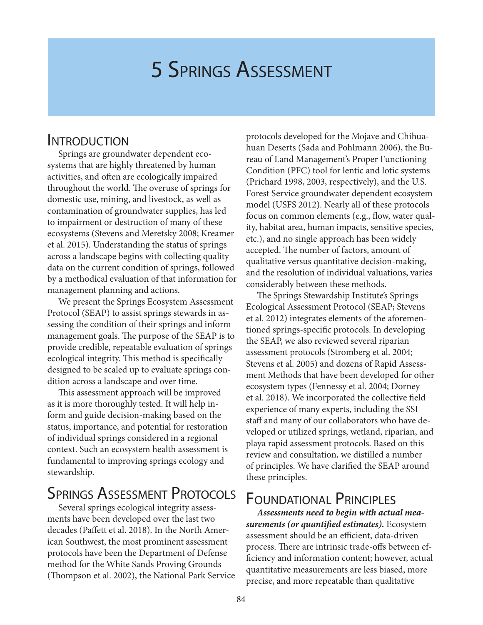# 5 Springs Assessment

### **INTRODUCTION**

Springs are groundwater dependent ecosystems that are highly threatened by human activities, and often are ecologically impaired throughout the world. The overuse of springs for domestic use, mining, and livestock, as well as contamination of groundwater supplies, has led to impairment or destruction of many of these ecosystems (Stevens and Meretsky 2008; Kreamer et al. 2015). Understanding the status of springs across a landscape begins with collecting quality data on the current condition of springs, followed by a methodical evaluation of that information for management planning and actions.

We present the Springs Ecosystem Assessment Protocol (SEAP) to assist springs stewards in assessing the condition of their springs and inform management goals. The purpose of the SEAP is to provide credible, repeatable evaluation of springs ecological integrity. This method is specifically designed to be scaled up to evaluate springs condition across a landscape and over time.

This assessment approach will be improved as it is more thoroughly tested. It will help inform and guide decision-making based on the status, importance, and potential for restoration of individual springs considered in a regional context. Such an ecosystem health assessment is fundamental to improving springs ecology and stewardship.

## SPRINGS ASSESSMENT PROTOCOLS

Several springs ecological integrity assessments have been developed over the last two decades (Paffett et al. 2018). In the North American Southwest, the most prominent assessment protocols have been the Department of Defense method for the White Sands Proving Grounds (Thompson et al. 2002), the National Park Service protocols developed for the Mojave and Chihuahuan Deserts (Sada and Pohlmann 2006), the Bureau of Land Management's Proper Functioning Condition (PFC) tool for lentic and lotic systems (Prichard 1998, 2003, respectively), and the U.S. Forest Service groundwater dependent ecosystem model (USFS 2012). Nearly all of these protocols focus on common elements (e.g., flow, water quality, habitat area, human impacts, sensitive species, etc.), and no single approach has been widely accepted. The number of factors, amount of qualitative versus quantitative decision-making, and the resolution of individual valuations, varies considerably between these methods.

The Springs Stewardship Institute's Springs Ecological Assessment Protocol (SEAP; Stevens et al. 2012) integrates elements of the aforementioned springs-specific protocols. In developing the SEAP, we also reviewed several riparian assessment protocols (Stromberg et al. 2004; Stevens et al. 2005) and dozens of Rapid Assessment Methods that have been developed for other ecosystem types (Fennessy et al. 2004; Dorney et al. 2018). We incorporated the collective field experience of many experts, including the SSI staff and many of our collaborators who have developed or utilized springs, wetland, riparian, and playa rapid assessment protocols. Based on this review and consultation, we distilled a number of principles. We have clarified the SEAP around these principles.

# Foundational Principles

*Assessments need to begin with actual measurements (or quantified estimates).* Ecosystem assessment should be an efficient, data-driven process. There are intrinsic trade-offs between efficiency and information content; however, actual quantitative measurements are less biased, more precise, and more repeatable than qualitative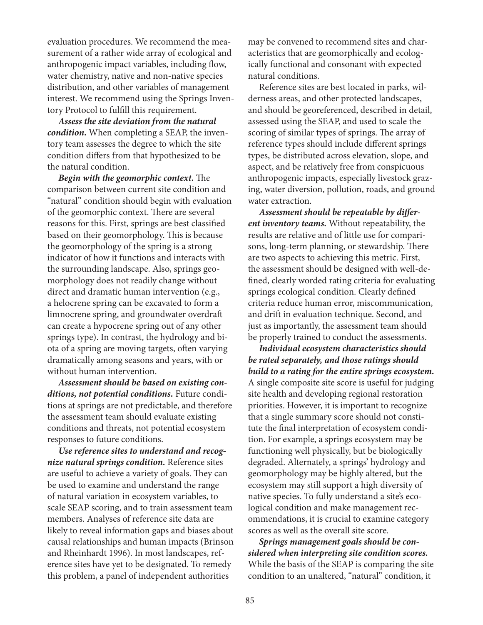evaluation procedures. We recommend the measurement of a rather wide array of ecological and anthropogenic impact variables, including flow, water chemistry, native and non-native species distribution, and other variables of management interest. We recommend using the Springs Inventory Protocol to fulfill this requirement.

*Assess the site deviation from the natural condition.* When completing a SEAP, the inventory team assesses the degree to which the site condition differs from that hypothesized to be the natural condition.

*Begin with the geomorphic context.* The comparison between current site condition and "natural" condition should begin with evaluation of the geomorphic context. There are several reasons for this. First, springs are best classified based on their geomorphology. This is because the geomorphology of the spring is a strong indicator of how it functions and interacts with the surrounding landscape. Also, springs geomorphology does not readily change without direct and dramatic human intervention (e.g., a helocrene spring can be excavated to form a limnocrene spring, and groundwater overdraft can create a hypocrene spring out of any other springs type). In contrast, the hydrology and biota of a spring are moving targets, often varying dramatically among seasons and years, with or without human intervention.

*Assessment should be based on existing conditions, not potential conditions.* Future conditions at springs are not predictable, and therefore the assessment team should evaluate existing conditions and threats, not potential ecosystem responses to future conditions.

*Use reference sites to understand and recognize natural springs condition.* Reference sites are useful to achieve a variety of goals. They can be used to examine and understand the range of natural variation in ecosystem variables, to scale SEAP scoring, and to train assessment team members. Analyses of reference site data are likely to reveal information gaps and biases about causal relationships and human impacts (Brinson and Rheinhardt 1996). In most landscapes, reference sites have yet to be designated. To remedy this problem, a panel of independent authorities

may be convened to recommend sites and characteristics that are geomorphically and ecologically functional and consonant with expected natural conditions.

Reference sites are best located in parks, wilderness areas, and other protected landscapes, and should be georeferenced, described in detail, assessed using the SEAP, and used to scale the scoring of similar types of springs. The array of reference types should include different springs types, be distributed across elevation, slope, and aspect, and be relatively free from conspicuous anthropogenic impacts, especially livestock grazing, water diversion, pollution, roads, and ground water extraction.

*Assessment should be repeatable by different inventory teams.* Without repeatability, the results are relative and of little use for comparisons, long-term planning, or stewardship. There are two aspects to achieving this metric. First, the assessment should be designed with well-defined, clearly worded rating criteria for evaluating springs ecological condition. Clearly defined criteria reduce human error, miscommunication, and drift in evaluation technique. Second, and just as importantly, the assessment team should be properly trained to conduct the assessments.

*Individual ecosystem characteristics should be rated separately, and those ratings should build to a rating for the entire springs ecosystem.* A single composite site score is useful for judging site health and developing regional restoration priorities. However, it is important to recognize that a single summary score should not constitute the final interpretation of ecosystem condition. For example, a springs ecosystem may be functioning well physically, but be biologically degraded. Alternately, a springs' hydrology and geomorphology may be highly altered, but the ecosystem may still support a high diversity of native species. To fully understand a site's ecological condition and make management recommendations, it is crucial to examine category scores as well as the overall site score.

*Springs management goals should be considered when interpreting site condition scores.* While the basis of the SEAP is comparing the site condition to an unaltered, "natural" condition, it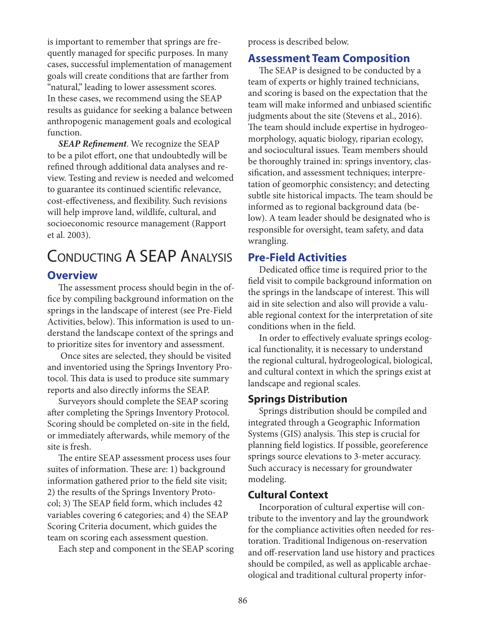is important to remember that springs are frequently managed for specific purposes. In many cases, successful implementation of management goals will create conditions that are farther from "natural," leading to lower assessment scores. In these cases, we recommend using the SEAP results as guidance for seeking a balance between anthropogenic management goals and ecological function.

*SEAP Refinement*. We recognize the SEAP to be a pilot effort, one that undoubtedly will be refined through additional data analyses and review. Testing and review is needed and welcomed to guarantee its continued scientific relevance, cost-effectiveness, and flexibility. Such revisions will help improve land, wildlife, cultural, and socioeconomic resource management (Rapport et al. 2003).

### Conducting A SEAP Analysis **Overview**

The assessment process should begin in the office by compiling background information on the springs in the landscape of interest (see Pre-Field Activities, below). This information is used to understand the landscape context of the springs and to prioritize sites for inventory and assessment.

 Once sites are selected, they should be visited and inventoried using the Springs Inventory Protocol. This data is used to produce site summary reports and also directly informs the SEAP.

Surveyors should complete the SEAP scoring after completing the Springs Inventory Protocol. Scoring should be completed on-site in the field, or immediately afterwards, while memory of the site is fresh.

The entire SEAP assessment process uses four suites of information. These are: 1) background information gathered prior to the field site visit; 2) the results of the Springs Inventory Protocol; 3) The SEAP field form, which includes 42 variables covering 6 categories; and 4) the SEAP Scoring Criteria document, which guides the team on scoring each assessment question.

Each step and component in the SEAP scoring

process is described below.

#### **Assessment Team Composition**

The SEAP is designed to be conducted by a team of experts or highly trained technicians, and scoring is based on the expectation that the team will make informed and unbiased scientific judgments about the site (Stevens et al., 2016). The team should include expertise in hydrogeomorphology, aquatic biology, riparian ecology, and sociocultural issues. Team members should be thoroughly trained in: springs inventory, classification, and assessment techniques; interpretation of geomorphic consistency; and detecting subtle site historical impacts. The team should be informed as to regional background data (below). A team leader should be designated who is responsible for oversight, team safety, and data wrangling.

#### **Pre-Field Activities**

Dedicated office time is required prior to the field visit to compile background information on the springs in the landscape of interest. This will aid in site selection and also will provide a valuable regional context for the interpretation of site conditions when in the field.

In order to effectively evaluate springs ecological functionality, it is necessary to understand the regional cultural, hydrogeological, biological, and cultural context in which the springs exist at landscape and regional scales.

#### **Springs Distribution**

Springs distribution should be compiled and integrated through a Geographic Information Systems (GIS) analysis. This step is crucial for planning field logistics. If possible, georeference springs source elevations to 3-meter accuracy. Such accuracy is necessary for groundwater modeling.

#### **Cultural Context**

Incorporation of cultural expertise will contribute to the inventory and lay the groundwork for the compliance activities often needed for restoration. Traditional Indigenous on-reservation and off-reservation land use history and practices should be compiled, as well as applicable archaeological and traditional cultural property infor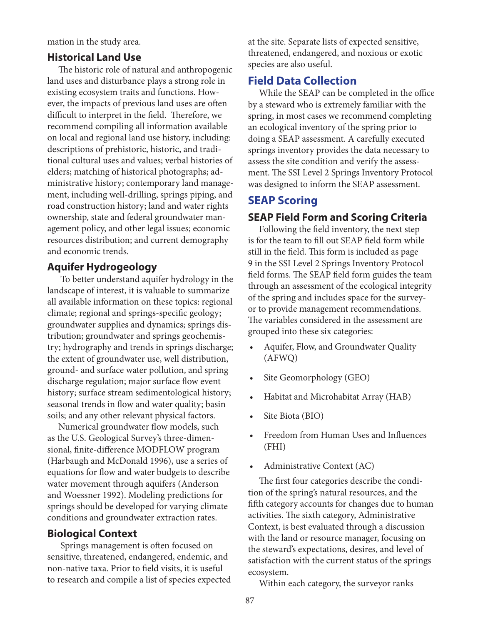mation in the study area.

#### **Historical Land Use**

The historic role of natural and anthropogenic land uses and disturbance plays a strong role in existing ecosystem traits and functions. However, the impacts of previous land uses are often difficult to interpret in the field. Therefore, we recommend compiling all information available on local and regional land use history, including: descriptions of prehistoric, historic, and traditional cultural uses and values; verbal histories of elders; matching of historical photographs; administrative history; contemporary land management, including well-drilling, springs piping, and road construction history; land and water rights ownership, state and federal groundwater management policy, and other legal issues; economic resources distribution; and current demography and economic trends.

#### **Aquifer Hydrogeology**

To better understand aquifer hydrology in the landscape of interest, it is valuable to summarize all available information on these topics: regional climate; regional and springs-specific geology; groundwater supplies and dynamics; springs distribution; groundwater and springs geochemistry; hydrography and trends in springs discharge; the extent of groundwater use, well distribution, ground- and surface water pollution, and spring discharge regulation; major surface flow event history; surface stream sedimentological history; seasonal trends in flow and water quality; basin soils; and any other relevant physical factors.

Numerical groundwater flow models, such as the U.S. Geological Survey's three-dimensional, finite-difference MODFLOW program (Harbaugh and McDonald 1996), use a series of equations for flow and water budgets to describe water movement through aquifers (Anderson and Woessner 1992). Modeling predictions for springs should be developed for varying climate conditions and groundwater extraction rates.

#### **Biological Context**

 Springs management is often focused on sensitive, threatened, endangered, endemic, and non-native taxa. Prior to field visits, it is useful to research and compile a list of species expected at the site. Separate lists of expected sensitive, threatened, endangered, and noxious or exotic species are also useful.

#### **Field Data Collection**

While the SEAP can be completed in the office by a steward who is extremely familiar with the spring, in most cases we recommend completing an ecological inventory of the spring prior to doing a SEAP assessment. A carefully executed springs inventory provides the data necessary to assess the site condition and verify the assessment. The SSI Level 2 Springs Inventory Protocol was designed to inform the SEAP assessment.

#### **SEAP Scoring**

#### **SEAP Field Form and Scoring Criteria**

Following the field inventory, the next step is for the team to fill out SEAP field form while still in the field. This form is included as page 9 in the SSI Level 2 Springs Inventory Protocol field forms. The SEAP field form guides the team through an assessment of the ecological integrity of the spring and includes space for the surveyor to provide management recommendations. The variables considered in the assessment are grouped into these six categories:

- Aquifer, Flow, and Groundwater Quality (AFWQ)
- Site Geomorphology (GEO)
- Habitat and Microhabitat Array (HAB)
- Site Biota (BIO)
- Freedom from Human Uses and Influences (FHI)
- Administrative Context (AC)

The first four categories describe the condition of the spring's natural resources, and the fifth category accounts for changes due to human activities. The sixth category, Administrative Context, is best evaluated through a discussion with the land or resource manager, focusing on the steward's expectations, desires, and level of satisfaction with the current status of the springs ecosystem.

Within each category, the surveyor ranks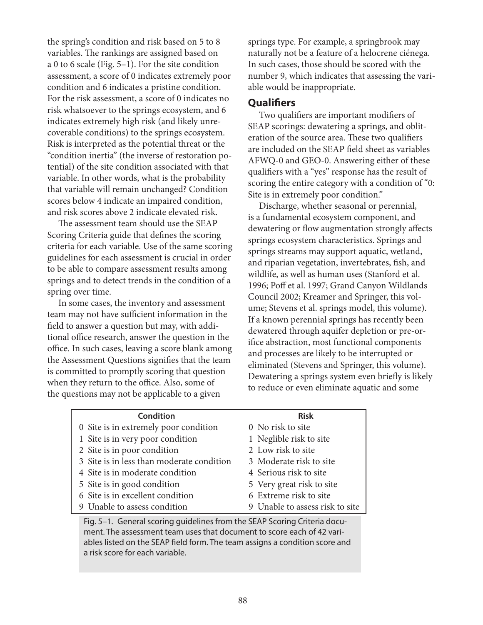the spring's condition and risk based on 5 to 8 variables. The rankings are assigned based on a 0 to 6 scale (Fig. 5–1). For the site condition assessment, a score of 0 indicates extremely poor condition and 6 indicates a pristine condition. For the risk assessment, a score of 0 indicates no risk whatsoever to the springs ecosystem, and 6 indicates extremely high risk (and likely unrecoverable conditions) to the springs ecosystem. Risk is interpreted as the potential threat or the "condition inertia" (the inverse of restoration potential) of the site condition associated with that variable. In other words, what is the probability that variable will remain unchanged? Condition scores below 4 indicate an impaired condition, and risk scores above 2 indicate elevated risk.

The assessment team should use the SEAP Scoring Criteria guide that defines the scoring criteria for each variable. Use of the same scoring guidelines for each assessment is crucial in order to be able to compare assessment results among springs and to detect trends in the condition of a spring over time.

In some cases, the inventory and assessment team may not have sufficient information in the field to answer a question but may, with additional office research, answer the question in the office. In such cases, leaving a score blank among the Assessment Questions signifies that the team is committed to promptly scoring that question when they return to the office. Also, some of the questions may not be applicable to a given

springs type. For example, a springbrook may naturally not be a feature of a helocrene ciénega. In such cases, those should be scored with the number 9, which indicates that assessing the variable would be inappropriate.

#### **Qualifiers**

Two qualifiers are important modifiers of SEAP scorings: dewatering a springs, and obliteration of the source area. These two qualifiers are included on the SEAP field sheet as variables AFWQ-0 and GEO-0. Answering either of these qualifiers with a "yes" response has the result of scoring the entire category with a condition of "0: Site is in extremely poor condition."

Discharge, whether seasonal or perennial, is a fundamental ecosystem component, and dewatering or flow augmentation strongly affects springs ecosystem characteristics. Springs and springs streams may support aquatic, wetland, and riparian vegetation, invertebrates, fish, and wildlife, as well as human uses (Stanford et al. 1996; Poff et al. 1997; Grand Canyon Wildlands Council 2002; Kreamer and Springer, this volume; Stevens et al. springs model, this volume). If a known perennial springs has recently been dewatered through aquifer depletion or pre-orifice abstraction, most functional components and processes are likely to be interrupted or eliminated (Stevens and Springer, this volume). Dewatering a springs system even briefly is likely to reduce or even eliminate aquatic and some

| <b>Condition</b>                                                          | <b>Risk</b>                     |  |
|---------------------------------------------------------------------------|---------------------------------|--|
| 0 Site is in extremely poor condition                                     | 0 No risk to site               |  |
| 1 Site is in very poor condition                                          | 1 Neglible risk to site         |  |
| 2 Site is in poor condition                                               | 2 Low risk to site              |  |
| 3 Site is in less than moderate condition                                 | 3 Moderate risk to site         |  |
| 4 Site is in moderate condition                                           | 4 Serious risk to site          |  |
| 5 Site is in good condition                                               | 5 Very great risk to site       |  |
| 6 Site is in excellent condition                                          | 6 Extreme risk to site          |  |
| 9 Unable to assess condition                                              | 9 Unable to assess risk to site |  |
| Fig. 5-1. General scoring guidelines from the SEAP Scoring Criteria docu- |                                 |  |

ment. The assessment team uses that document to score each of 42 variables listed on the SEAP field form. The team assigns a condition score and a risk score for each variable.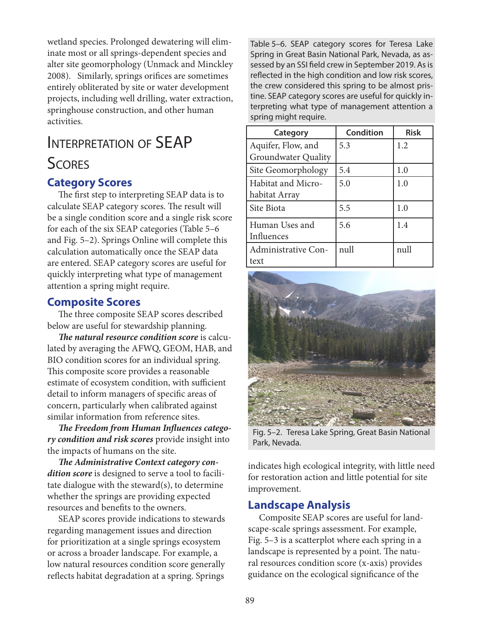wetland species. Prolonged dewatering will eliminate most or all springs-dependent species and alter site geomorphology (Unmack and Minckley 2008). Similarly, springs orifices are sometimes entirely obliterated by site or water development projects, including well drilling, water extraction, springhouse construction, and other human activities.

# Interpretation of SEAP **SCORES**

#### **Category Scores**

The first step to interpreting SEAP data is to calculate SEAP category scores. The result will be a single condition score and a single risk score for each of the six SEAP categories (Table 5–6 and Fig. 5–2). Springs Online will complete this calculation automatically once the SEAP data are entered. SEAP category scores are useful for quickly interpreting what type of management attention a spring might require.

#### **Composite Scores**

The three composite SEAP scores described below are useful for stewardship planning.

*The natural resource condition score* is calculated by averaging the AFWQ, GEOM, HAB, and BIO condition scores for an individual spring. This composite score provides a reasonable estimate of ecosystem condition, with sufficient detail to inform managers of specific areas of concern, particularly when calibrated against similar information from reference sites.

*The Freedom from Human Influences category condition and risk scores* provide insight into the impacts of humans on the site.

*The Administrative Context category condition score* is designed to serve a tool to facilitate dialogue with the steward(s), to determine whether the springs are providing expected resources and benefits to the owners.

SEAP scores provide indications to stewards regarding management issues and direction for prioritization at a single springs ecosystem or across a broader landscape. For example, a low natural resources condition score generally reflects habitat degradation at a spring. Springs

Table 5–6. SEAP category scores for Teresa Lake Spring in Great Basin National Park, Nevada, as assessed by an SSI field crew in September 2019. As is reflected in the high condition and low risk scores, the crew considered this spring to be almost pristine. SEAP category scores are useful for quickly interpreting what type of management attention a spring might require.

| Category                                         | <b>Condition</b> | <b>Risk</b> |
|--------------------------------------------------|------------------|-------------|
| Aquifer, Flow, and<br><b>Groundwater Quality</b> | 5.3              | 1.2         |
| Site Geomorphology                               | 5.4              | 1.0         |
| Habitat and Micro-<br>habitat Array              | 5.0              | 1.0         |
| Site Biota                                       | 5.5              | 1.0         |
| Human Uses and<br>Influences                     | 5.6              | 1.4         |
| Administrative Con-<br>text                      | null             | null        |



Fig. 5–2. Teresa Lake Spring, Great Basin National Park, Nevada.

indicates high ecological integrity, with little need for restoration action and little potential for site improvement.

#### **Landscape Analysis**

Composite SEAP scores are useful for landscape-scale springs assessment. For example, Fig. 5–3 is a scatterplot where each spring in a landscape is represented by a point. The natural resources condition score (x-axis) provides guidance on the ecological significance of the